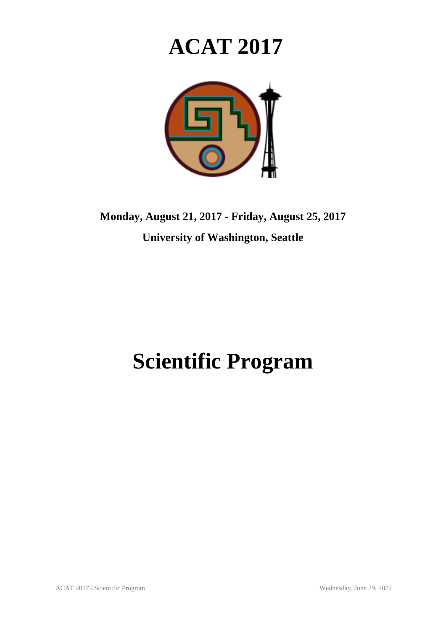# **ACAT 2017**



**Monday, August 21, 2017 - Friday, August 25, 2017 University of Washington, Seattle**

## **Scientific Program**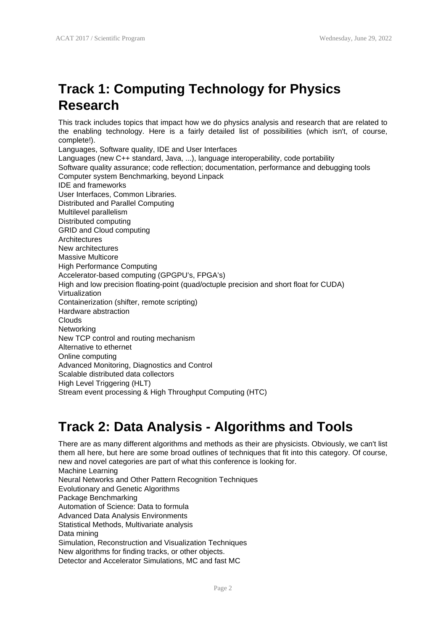### **Track 1: Computing Technology for Physics Research**

This track includes topics that impact how we do physics analysis and research that are related to the enabling technology. Here is a fairly detailed list of possibilities (which isn't, of course, complete!).

Languages, Software quality, IDE and User Interfaces Languages (new C++ standard, Java, ...), language interoperability, code portability Software quality assurance; code reflection; documentation, performance and debugging tools Computer system Benchmarking, beyond Linpack IDE and frameworks User Interfaces, Common Libraries. Distributed and Parallel Computing Multilevel parallelism Distributed computing GRID and Cloud computing Architectures New architectures Massive Multicore High Performance Computing Accelerator-based computing (GPGPU's, FPGA's) High and low precision floating-point (quad/octuple precision and short float for CUDA) Virtualization Containerization (shifter, remote scripting) Hardware abstraction Clouds Networking New TCP control and routing mechanism Alternative to ethernet Online computing Advanced Monitoring, Diagnostics and Control Scalable distributed data collectors High Level Triggering (HLT) Stream event processing & High Throughput Computing (HTC)

#### **Track 2: Data Analysis - Algorithms and Tools**

There are as many different algorithms and methods as their are physicists. Obviously, we can't list them all here, but here are some broad outlines of techniques that fit into this category. Of course, new and novel categories are part of what this conference is looking for. Machine Learning Neural Networks and Other Pattern Recognition Techniques Evolutionary and Genetic Algorithms Package Benchmarking Automation of Science: Data to formula Advanced Data Analysis Environments Statistical Methods, Multivariate analysis Data mining Simulation, Reconstruction and Visualization Techniques New algorithms for finding tracks, or other objects. Detector and Accelerator Simulations, MC and fast MC